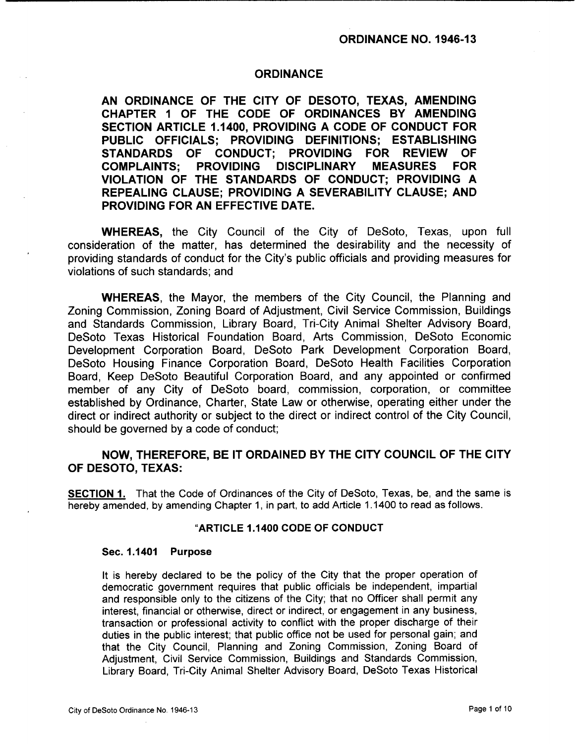### **ORDINANCE**

AN ORDINANCE OF THE CITY OF DESOTO, TEXAS, AMENDING CHAPTER <sup>1</sup> OF THE CODE OF ORDINANCES BY AMENDING SECTION ARTICLE 1. 1400, PROVIDING A CODE OF CONDUCT FOR PUBLIC OFFICIALS; PROVIDING DEFINITIONS; ESTABLISHING STANDARDS OF CONDUCT; PROVIDING FOR REVIEW OF COMPLAINTS; PROVIDING DISCIPLINARY MEASURES FOR VIOLATION OF THE STANDARDS OF CONDUCT; PROVIDING A REPEALING CLAUSE; PROVIDING A SEVERABILITY CLAUSE; AND PROVIDING FOR AN EFFECTIVE DATE.

WHEREAS, the City Council of the City of DeSoto, Texas, upon full consideration of the matter, has determined the desirability and the necessity of providing standards of conduct for the City's public officials and providing measures for violations of such standards; and

WHEREAS, the Mayor, the members of the City Council, the Planning and Zoning Commission, Zoning Board of Adjustment, Civil Service Commission, Buildings and Standards Commission, Library Board, Tri-City Animal Shelter Advisory Board, DeSoto Texas Historical Foundation Board, Arts Commission, DeSoto Economic Development Corporation Board, DeSoto Park Development Corporation Board, DeSoto Housing Finance Corporation Board, DeSoto Health Facilities Corporation Board, Keep DeSoto Beautiful Corporation Board, and any appointed or confirmed member of any City of DeSoto board, commission, corporation, or committee established by Ordinance, Charter, State Law or otherwise, operating either under the direct or indirect authority or subject to the direct or indirect control of the City Council, should be governed by a code of conduct;

# NOW, THEREFORE, BE IT ORDAINED BY THE CITY COUNCIL OF THE CITY OF DESOTO, TEXAS:

SECTION 1. That the Code of Ordinances of the City of DeSoto, Texas, be, and the same is hereby amended, by amending Chapter 1, in part, to add Article 1. 1400 to read as follows.

#### ARTICLE 1. 1400 CODE OF CONDUCT

#### Sec. 1.1401 Purpose

It is hereby declared to be the policy of the City that the proper operation of democratic government requires that public officials be independent, impartial and responsible only to the citizens of the City; that no Officer shall permit any interest, financial or otherwise, direct or indirect, or engagement in any business, transaction or professional activity to conflict with the proper discharge of their duties in the public interest; that public office not be used for personal gain; and that the City Council, Planning and Zoning Commission, Zoning Board of Adjustment, Civil Service Commission, Buildings and Standards Commission, Library Board, Tri-City Animal Shelter Advisory Board, DeSoto Texas Historical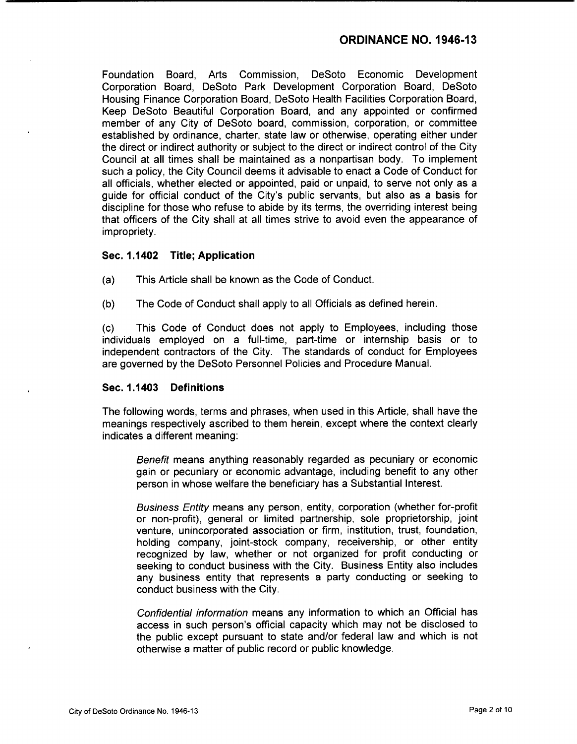Foundation Board, Arts Commission, DeSoto Economic Development Corporation Board, DeSoto Park Development Corporation Board, DeSoto Housing Finance Corporation Board, DeSoto Health Facilities Corporation Board, Keep DeSoto Beautiful Corporation Board, and any appointed or confirmed member of any City of DeSoto board, commission, corporation, or committee established by ordinance, charter, state law or otherwise, operating either under the direct or indirect authority or subject to the direct or indirect control of the City Council at all times shall be maintained as a nonpartisan body. To implement such a policy, the City Council deems it advisable to enact a Code of Conduct for all officials, whether elected or appointed, paid or unpaid, to serve not only as a guide for official conduct of the City's public servants, but also as a basis for discipline for those who refuse to abide by its terms, the overriding interest being that officers of the City shall at all times strive to avoid even the appearance of impropriety.

## Sec. 1.1402 Title; Application

- a) This Article shall be known as the Code of Conduct.
- b) The Code of Conduct shall apply to all Officials as defined herein.

c) This Code of Conduct does not apply to Employees, including those individuals employed on a full-time, part-time or internship basis or to independent contractors of the City. The standards of conduct for Employees are governed by the DeSoto Personnel Policies and Procedure Manual.

#### Sec. 1.1403 Definitions

The following words, terms and phrases, when used in this Article, shall have the meanings respectively ascribed to them herein, except where the context clearly indicates a different meaning:

Benefit means anything reasonably regarded as pecuniary or economic gain or pecuniary or economic advantage, including benefit to any other person in whose welfare the beneficiary has a Substantial Interest.

Business Entity means any person, entity, corporation ( whether for-profit or non- profit), general or limited partnership, sole proprietorship, joint venture, unincorporated association or firm, institution, trust, foundation, holding company, joint-stock company, receivership, or other entity recognized by law, whether or not organized for profit conducting or seeking to conduct business with the City. Business Entity also includes any business entity that represents a party conducting or seeking to conduct business with the City.

Confidential information means any information to which an Official has access in such person's official capacity which may not be disclosed to the public except pursuant to state and/or federal law and which is not otherwise a matter of public record or public knowledge.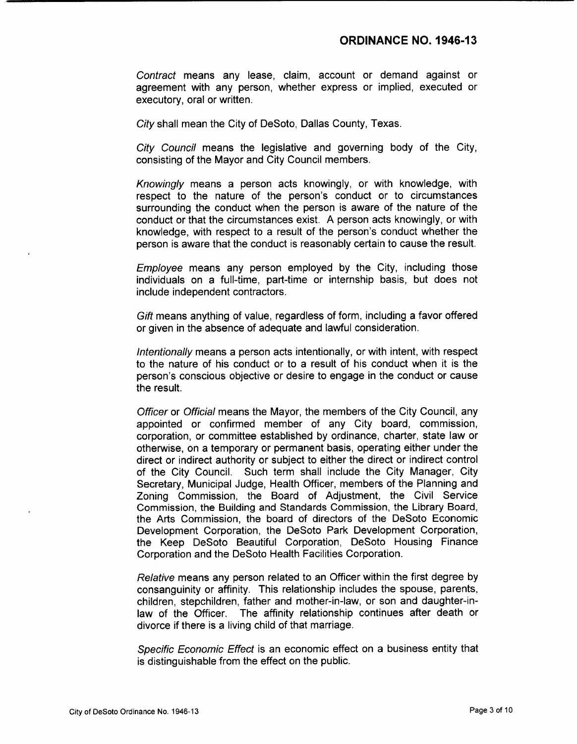Contract means any lease, claim, account or demand against or agreement with any person, whether express or implied, executed or executory, oral or written.

City shall mean the City of DeSoto, Dallas County, Texas.

City Council means the legislative and governing body of the City, consisting of the Mayor and City Council members.

Knowingly means <sup>a</sup> person acts knowingly, or with knowledge, with respect to the nature of the person's conduct or to circumstances surrounding the conduct when the person is aware of the nature of the conduct or that the circumstances exist. A person acts knowingly, or with knowledge, with respect to a result of the person's conduct whether the person is aware that the conduct is reasonably certain to cause the result.

Employee means any person employed by the City, including those individuals on a full-time, part-time or internship basis, but does not include independent contractors.

Gift means anything of value, regardless of form, including a favor offered or given in the absence of adequate and lawful consideration.

Intentionally means a person acts intentionally, or with intent, with respect to the nature of his conduct or to a result of his conduct when it is the person's conscious objective or desire to engage in the conduct or cause the result.

Officer or Official means the Mayor, the members of the City Council, any appointed or confirmed member of any City board, commission, corporation, or committee established by ordinance, charter, state law or otherwise, on a temporary or permanent basis, operating either under the direct or indirect authority or subject to either the direct or indirect control of the City Council. Such term shall include the City Manager, City Secretary, Municipal Judge, Health Officer, members of the Planning and Zoning Commission, the Board of Adjustment, the Civil Service Commission, the Building and Standards Commission, the Library Board, the Arts Commission, the board of directors of the DeSoto Economic Development Corporation, the DeSoto Park Development Corporation, the Keep DeSoto Beautiful Corporation, DeSoto Housing Finance Corporation and the DeSoto Health Facilities Corporation.

Relative means any person related to an Officer within the first degree by consanguinity or affinity. This relationship includes the spouse, parents, children, stepchildren, father and mother-in- law, or son and daughter-inlaw of the Officer. The affinity relationship continues after death or divorce if there is a living child of that marriage.

Specific Economic Effect is an economic effect on a business entity that is distinguishable from the effect on the public.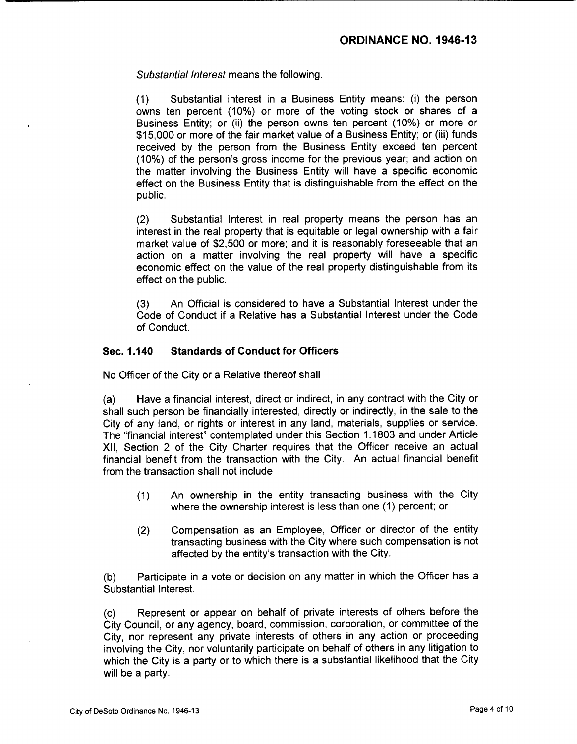Substantial Interest means the following.

1) Substantial interest in a Business Entity means: (i) the person owns ten percent (10%) or more of the voting stock or shares of a Business Entity; or (ii) the person owns ten percent (10%) or more or 15, 000 or more of the fair market value of a Business Entity; or (iii) funds received by the person from the Business Entity exceed ten percent (10%) of the person's gross income for the previous year; and action on the matter involving the Business Entity will have a specific economic effect on the Business Entity that is distinguishable from the effect on the public.

2) Substantial Interest in real property means the person has an interest in the real property that is equitable or legal ownership with a fair market value of \$2,500 or more; and it is reasonably foreseeable that an action on a matter involving the real property will have a specific economic effect on the value of the real property distinguishable from its effect on the public.

3) An Official is considered to have a Substantial Interest under the Code of Conduct if a Relative has a Substantial Interest under the Code of Conduct.

## Sec. 1. 140 Standards of Conduct for Officers

No Officer of the City or a Relative thereof shall

a) Have a financial interest, direct or indirect, in any contract with the City or shall such person be financially interested, directly or indirectly, in the sale to the City of any land, or rights or interest in any land, materials, supplies or service. The "financial interest" contemplated under this Section 1. 1803 and under Article XII, Section 2 of the City Charter requires that the Officer receive an actual financial benefit from the transaction with the City. An actual financial benefit from the transaction shall not include

- 1) An ownership in the entity transacting business with the City where the ownership interest is less than one (1) percent; or
- 2) Compensation as an Employee, Officer or director of the entity transacting business with the City where such compensation is not affected by the entity's transaction with the City.

b) Participate in a vote or decision on any matter in which the Officer has a Substantial Interest.

c) Represent or appear on behalf of private interests of others before the City Council, or any agency, board, commission, corporation, or committee of the City, nor represent any private interests of others in any action or proceeding involving the City, nor voluntarily participate on behalf of others in any litigation to which the City is a party or to which there is a substantial likelihood that the City will be a party.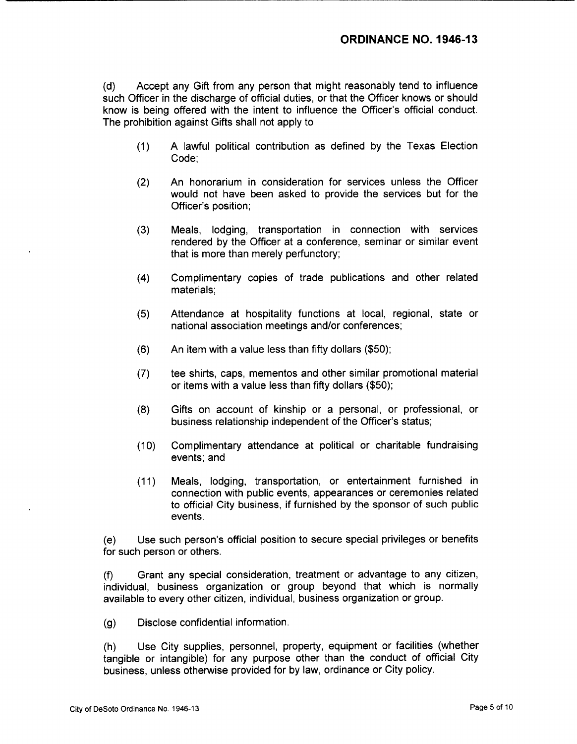d) Accept any Gift from any person that might reasonably tend to influence such Officer in the discharge of official duties, or that the Officer knows or should know is being offered with the intent to influence the Officer's official conduct. The prohibition against Gifts shall not apply to

- 1) A lawful political contribution as defined by the Texas Election Code;
- 2) An honorarium in consideration for services unless the Officer would not have been asked to provide the services but for the Officer's position;
- 3) Meals, lodging, transportation in connection with services rendered by the Officer at a conference, seminar or similar event that is more than merely perfunctory;
- 4) Complimentary copies of trade publications and other related materials;
- 5) Attendance at hospitality functions at local, regional, state or national association meetings and/or conferences;
- $(6)$  An item with a value less than fifty dollars  $(\$50)$ ;
- 7) tee shirts, caps, mementos and other similar promotional material or items with a value less than fifty dollars  $(\$50)$ ;
- 8) Gifts on account of kinship or a personal, or professional, or business relationship independent of the Officer's status;
- 10) Complimentary attendance at political or charitable fundraising events; and
- 11) Meals, lodging, transportation, or entertainment furnished in connection with public events, appearances or ceremonies related to official City business, if furnished by the sponsor of such public events.

(e) Use such person's official position to secure special privileges or benefits for such person or others.

f) Grant any special consideration, treatment or advantage to any citizen, individual, business organization or group beyond that which is normally available to every other citizen, individual, business organization or group.

g) Disclose confidential information.

h) Use City supplies, personnel, property, equipment or facilities ( whether tangible or intangible) for any purpose other than the conduct of official City business, unless otherwise provided for by law, ordinance or City policy.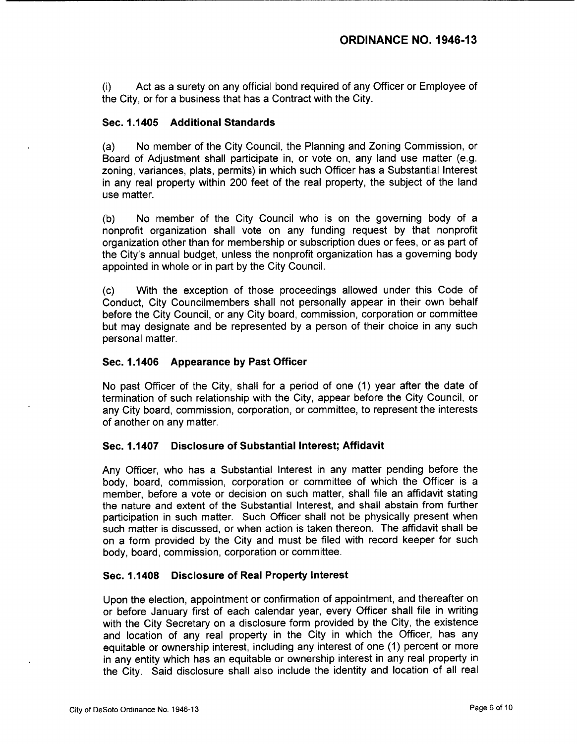i) Act as a surety on any official bond required of any Officer or Employee of the City, or for a business that has a Contract with the City.

## Sec. 1. 1405 Additional Standards

a) No member of the City Council, the Planning and Zoning Commission, or Board of Adjustment shall participate in, or vote on, any land use matter (e.g. zoning, variances, plats, permits) in which such Officer has a Substantial Interest in any real property within 200 feet of the real property, the subject of the land use matter.

b) No member of the City Council who is on the governing body of a nonprofit organization shall vote on any funding request by that nonprofit organization other than for membership or subscription dues or fees, or as part of the City's annual budget, unless the nonprofit organization has a governing body appointed in whole or in part by the City Council.

c) With the exception of those proceedings allowed under this Code of Conduct, City Councilmembers shall not personally appear in their own behalf before the City Council, or any City board, commission, corporation or committee but may designate and be represented by a person of their choice in any such personal matter.

#### Sec. 1. 1406 Appearance by Past Officer

No past Officer of the City, shall for <sup>a</sup> period of one ( 1) year after the date of termination of such relationship with the City, appear before the City Council, or any City board, commission, corporation, or committee, to represent the interests of another on any matter.

#### Sec. 1. 1407 Disclosure of Substantial Interest; Affidavit

Any Officer, who has a Substantial Interest in any matter pending before the body, board, commission, corporation or committee of which the Officer is <sup>a</sup> member, before a vote or decision on such matter, shall file an affidavit stating the nature and extent of the Substantial Interest, and shall abstain from further participation in such matter. Such Officer shall not be physically present when such matter is discussed, or when action is taken thereon. The affidavit shall be on a form provided by the City and must be filed with record keeper for such body, board, commission, corporation or committee.

#### Sec. 1. 1408 Disclosure of Real Property Interest

Upon the election, appointment or confirmation of appointment, and thereafter on or before January first of each calendar year, every Officer shall file in writing with the City Secretary on a disclosure form provided by the City, the existence and location of any real property in the City in which the Officer, has any equitable or ownership interest, including any interest of one ( 1) percent or more in any entity which has an equitable or ownership interest in any real property in the City. Said disclosure shall also include the identity and location of all real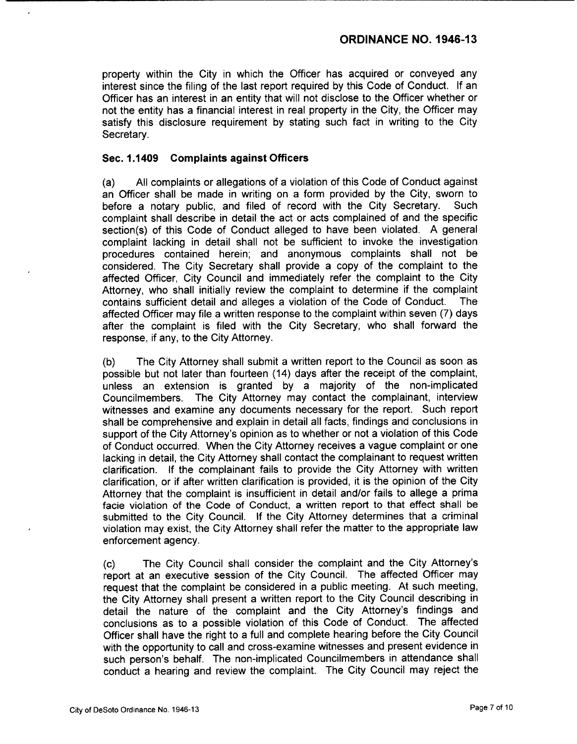property within the City in which the Officer has acquired or conveyed any interest since the filing of the last report required by this Code of Conduct. If an Officer has an interest in an entity that will not disclose to the Officer whether or not the entity has a financial interest in real property in the City, the Officer may satisfy this disclosure requirement by stating such fact in writing to the City Secretary.

## Sec. 1. 1409 Complaints against Officers

a) All complaints or allegations of a violation of this Code of Conduct against an Officer shall be made in writing on a form provided by the City, sworn to before a notary public, and filed of record with the City Secretary. Such before a notary public, and filed of record with the City Secretary. complaint shall describe in detail the act or acts complained of and the specific section(s) of this Code of Conduct alleged to have been violated. A general complaint lacking in detail shall not be sufficient to invoke the investigation procedures contained herein; and anonymous complaints shall not be considered. The City Secretary shall provide a copy of the complaint to the affected Officer, City Council and immediately refer the complaint to the City Attorney, who shall initially review the complaint to determine if the complaint contains sufficient detail and alleges a violation of the Code of Conduct. The contains sufficient detail and alleges a violation of the Code of Conduct. affected Officer may file a written response to the complaint within seven ( 7) days after the complaint is filed with the City Secretary, who shall forward the response, if any, to the City Attorney.

b) The City Attorney shall submit a written report to the Council as soon as possible but not later than fourteen ( 14) days after the receipt of the complaint, unless an extension is granted by a majority of the non-implicated Councilmembers. The City Attorney may contact the complainant, interview witnesses and examine any documents necessary for the report. Such report shall be comprehensive and explain in detail all facts, findings and conclusions in support of the City Attorney's opinion as to whether or not a violation of this Code of Conduct occurred. When the City Attorney receives a vague complaint or one lacking in detail, the City Attorney shall contact the complainant to request written clarification. If the complainant fails to provide the City Attorney with written clarification, or if after written clarification is provided, it is the opinion of the City Attorney that the complaint is insufficient in detail and/or fails to allege a prima facie violation of the Code of Conduct, a written report to that effect shall be submitted to the City Council. If the City Attorney determines that a criminal violation may exist, the City Attorney shall refer the matter to the appropriate law enforcement agency.

c) The City Council shall consider the complaint and the City Attorney's report at an executive session of the City Council. The affected Officer may request that the complaint be considered in a public meeting. At such meeting, the City Attorney shall present a written report to the City Council describing in detail the nature of the complaint and the City Attorney's findings and conclusions as to a possible violation of this Code of Conduct. The affected Officer shall have the right to a full and complete hearing before the City Council with the opportunity to call and cross-examine witnesses and present evidence in such person's behalf. The non-implicated Councilmembers in attendance shall conduct <sup>a</sup> hearing and review the complaint. The City Council may reject the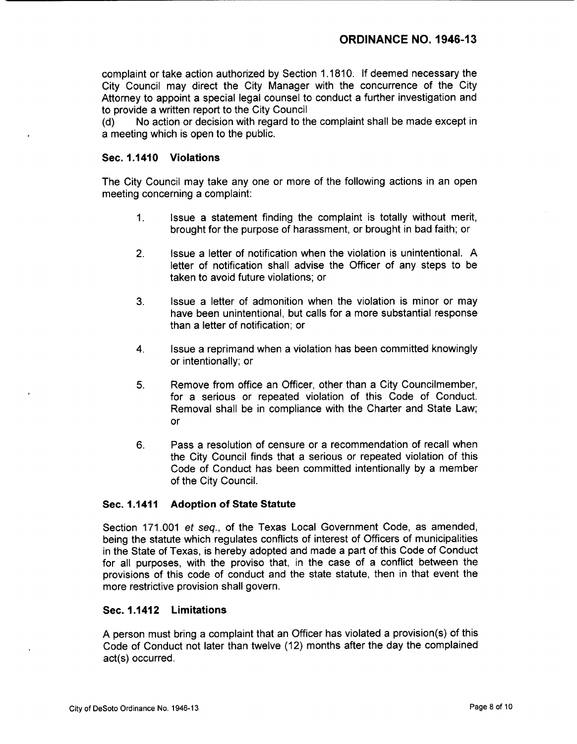complaint or take action authorized by Section 1. 1810. If deemed necessary the City Council may direct the City Manager with the concurrence of the City Attorney to appoint a special legal counsel to conduct a further investigation and to provide a written report to the City Council

d) No action or decision with regard to the complaint shall be made except in a meeting which is open to the public.

### Sec. 1.1410 Violations

The City Council may take any one or more of the following actions in an open meeting concerning a complaint:

- 1. Issue a statement finding the complaint is totally without merit, brought for the purpose of harassment, or brought in bad faith; or
- 2. Issue a letter of notification when the violation is unintentional. A letter of notification shall advise the Officer of any steps to be taken to avoid future violations; or
- 3. Issue a letter of admonition when the violation is minor or may have been unintentional, but calls for a more substantial response than a letter of notification; or
- 4. Issue a reprimand when a violation has been committed knowingly or intentionally; or
- 5. Remove from office an Officer, other than a City Councilmember, for a serious or repeated violation of this Code of Conduct. Removal shall be in compliance with the Charter and State Law; or
- 6. Pass a resolution of censure or a recommendation of recall when the City Council finds that a serious or repeated violation of this Code of Conduct has been committed intentionally by a member of the City Council.

#### Sec. 1. 1411 Adoption of State Statute

Section 171. 001 et seq., of the Texas Local Government Code, as amended, being the statute which regulates conflicts of interest of Officers of municipalities in the State of Texas, is hereby adopted and made a part of this Code of Conduct for all purposes, with the proviso that, in the case of a conflict between the provisions of this code of conduct and the state statute, then in that event the more restrictive provision shall govern.

#### Sec. 1. 1412 Limitations

A person must bring a complaint that an Officer has violated a provision(s) of this Code of Conduct not later than twelve ( 12) months after the day the complained act(s) occurred.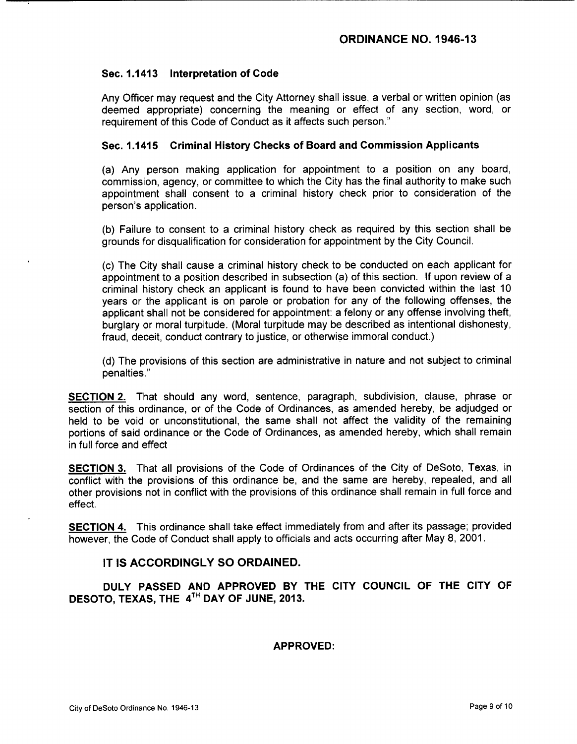## Sec. 1. 1413 Interpretation of Code

Any Officer may request and the City Attorney shall issue, a verbal or written opinion ( as deemed appropriate) concerning the meaning or effect of any section, word, or requirement of this Code of Conduct as it affects such person."

### Sec. 1. 1415 Criminal History Checks of Board and Commission Applicants

(a) Any person making application for appointment to a position on any board, commission, agency, or committee to which the City has the final authority to make such appointment shall consent to a criminal history check prior to consideration of the person's application.

b) Failure to consent to a criminal history check as required by this section shall be grounds for disqualification for consideration for appointment by the City Council.

c) The City shall cause a criminal history check to be conducted on each applicant for appointment to a position described in subsection (a) of this section. If upon review of a criminal history check an applicant is found to have been convicted within the last 10 years or the applicant is on parole or probation for any of the following offenses, the applicant shall not be considered for appointment: a felony or any offense involving theft, burglary or moral turpitude. ( Moral turpitude may be described as intentional dishonesty, fraud, deceit, conduct contrary to justice, or otherwise immoral conduct.)

d) The provisions of this section are administrative in nature and not subject to criminal penalties."

SECTION 2. That should any word, sentence, paragraph, subdivision, clause, phrase or section of this ordinance, or of the Code of Ordinances, as amended hereby, be adjudged or held to be void or unconstitutional, the same shall not affect the validity of the remaining portions of said ordinance or the Code of Ordinances, as amended hereby, which shall remain in full force and effect

**SECTION 3.** That all provisions of the Code of Ordinances of the City of DeSoto, Texas, in conflict with the provisions of this ordinance be, and the same are hereby, repealed, and all other provisions not in conflict with the provisions of this ordinance shall remain in full force and effect.

SECTION 4. This ordinance shall take effect immediately from and after its passage; provided however, the Code of Conduct shall apply to officials and acts occurring after May 8, 2001.

#### IT IS ACCORDINGLY SO ORDAINED.

DULY PASSED AND APPROVED BY THE CITY COUNCIL OF THE CITY OF DESOTO, TEXAS, THE 4<sup>TH</sup> DAY OF JUNE, 2013.

#### APPROVED: